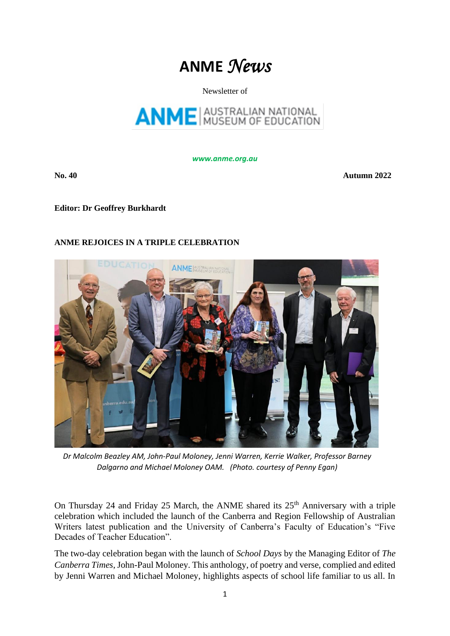# **ANME** *News*

## Newsletter of



*www.anme.org.au*

**No. 40 Autumn 2022** 

**Editor: Dr Geoffrey Burkhardt** 

# **ANME REJOICES IN A TRIPLE CELEBRATION**



*Dr Malcolm Beazley AM, John-Paul Moloney, Jenni Warren, Kerrie Walker, Professor Barney Dalgarno and Michael Moloney OAM. (Photo. courtesy of Penny Egan)*

On Thursday 24 and Friday 25 March, the ANME shared its  $25<sup>th</sup>$  Anniversary with a triple celebration which included the launch of the Canberra and Region Fellowship of Australian Writers latest publication and the University of Canberra's Faculty of Education's "Five Decades of Teacher Education".

The two-day celebration began with the launch of *School Days* by the Managing Editor of *The Canberra Times*, John-Paul Moloney. This anthology, of poetry and verse, complied and edited by Jenni Warren and Michael Moloney, highlights aspects of school life familiar to us all. In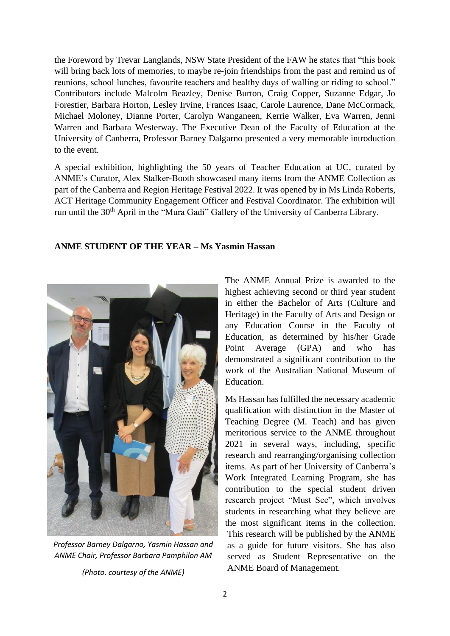the Foreword by Trevar Langlands, NSW State President of the FAW he states that "this book will bring back lots of memories, to maybe re-join friendships from the past and remind us of reunions, school lunches, favourite teachers and healthy days of walling or riding to school." Contributors include Malcolm Beazley, Denise Burton, Craig Copper, Suzanne Edgar, Jo Forestier, Barbara Horton, Lesley Irvine, Frances Isaac, Carole Laurence, Dane McCormack, Michael Moloney, Dianne Porter, Carolyn Wanganeen, Kerrie Walker, Eva Warren, Jenni Warren and Barbara Westerway. The Executive Dean of the Faculty of Education at the University of Canberra, Professor Barney Dalgarno presented a very memorable introduction to the event.

A special exhibition, highlighting the 50 years of Teacher Education at UC, curated by ANME's Curator, Alex Stalker-Booth showcased many items from the ANME Collection as part of the Canberra and Region Heritage Festival 2022. It was opened by in Ms Linda Roberts, ACT Heritage Community Engagement Officer and Festival Coordinator. The exhibition will run until the 30th April in the "Mura Gadi" Gallery of the University of Canberra Library.

## **ANME STUDENT OF THE YEAR – Ms Yasmin Hassan**



*Professor Barney Dalgarno, Yasmin Hassan and ANME Chair, Professor Barbara Pamphilon AM*

*(Photo. courtesy of the ANME)*

The ANME Annual Prize is awarded to the highest achieving second or third year student in either the Bachelor of Arts (Culture and Heritage) in the Faculty of Arts and Design or any Education Course in the Faculty of Education, as determined by his/her Grade Point Average (GPA) and who has demonstrated a significant contribution to the work of the Australian National Museum of Education.

Ms Hassan has fulfilled the necessary academic qualification with distinction in the Master of Teaching Degree (M. Teach) and has given meritorious service to the ANME throughout 2021 in several ways, including, specific research and rearranging/organising collection items. As part of her University of Canberra's Work Integrated Learning Program, she has contribution to the special student driven research project "Must See", which involves students in researching what they believe are the most significant items in the collection. This research will be published by the ANME as a guide for future visitors. She has also served as Student Representative on the ANME Board of Management.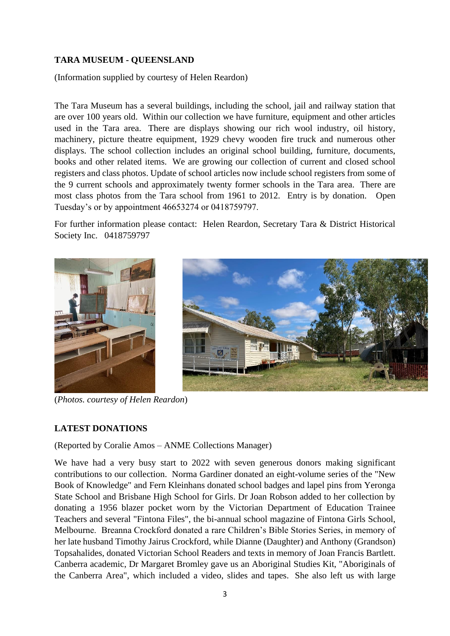# **TARA MUSEUM - QUEENSLAND**

(Information supplied by courtesy of Helen Reardon)

The Tara Museum has a several buildings, including the school, jail and railway station that are over 100 years old. Within our collection we have furniture, equipment and other articles used in the Tara area. There are displays showing our rich wool industry, oil history, machinery, picture theatre equipment, 1929 chevy wooden fire truck and numerous other displays. The school collection includes an original school building, furniture, documents, books and other related items. We are growing our collection of current and closed school registers and class photos. Update of school articles now include school registers from some of the 9 current schools and approximately twenty former schools in the Tara area. There are most class photos from the Tara school from 1961 to 2012. Entry is by donation. Open Tuesday's or by appointment 46653274 or 0418759797.

For further information please contact: Helen Reardon, Secretary Tara & District Historical Society Inc. 0418759797





(*Photos. courtesy of Helen Reardon*)

# **LATEST DONATIONS**

(Reported by Coralie Amos – ANME Collections Manager)

We have had a very busy start to 2022 with seven generous donors making significant contributions to our collection. Norma Gardiner donated an eight-volume series of the "New Book of Knowledge" and Fern Kleinhans donated school badges and lapel pins from Yeronga State School and Brisbane High School for Girls. Dr Joan Robson added to her collection by donating a 1956 blazer pocket worn by the Victorian Department of Education Trainee Teachers and several "Fintona Files", the bi-annual school magazine of Fintona Girls School, Melbourne. Breanna Crockford donated a rare Children's Bible Stories Series, in memory of her late husband Timothy Jairus Crockford, while Dianne (Daughter) and Anthony (Grandson) Topsahalides, donated Victorian School Readers and texts in memory of Joan Francis Bartlett. Canberra academic, Dr Margaret Bromley gave us an Aboriginal Studies Kit, "Aboriginals of the Canberra Area", which included a video, slides and tapes. She also left us with large